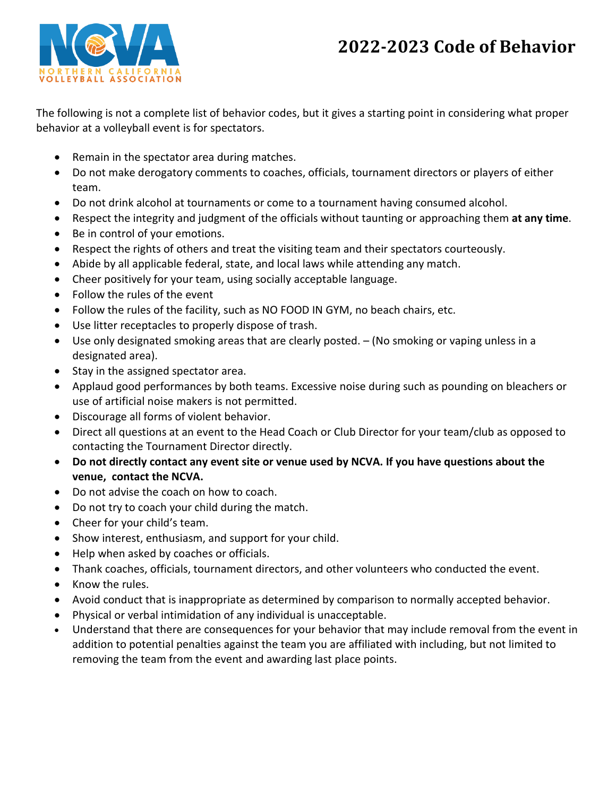# **2022-2023 Code of Behavior**



The following is not a complete list of behavior codes, but it gives a starting point in considering what proper behavior at a volleyball event is for spectators.

- Remain in the spectator area during matches.
- Do not make derogatory comments to coaches, officials, tournament directors or players of either team.
- Do not drink alcohol at tournaments or come to a tournament having consumed alcohol.
- Respect the integrity and judgment of the officials without taunting or approaching them **at any time**.
- Be in control of your emotions.
- Respect the rights of others and treat the visiting team and their spectators courteously.
- Abide by all applicable federal, state, and local laws while attending any match.
- Cheer positively for your team, using socially acceptable language.
- Follow the rules of the event
- Follow the rules of the facility, such as NO FOOD IN GYM, no beach chairs, etc.
- Use litter receptacles to properly dispose of trash.
- Use only designated smoking areas that are clearly posted. (No smoking or vaping unless in a designated area).
- Stay in the assigned spectator area.
- Applaud good performances by both teams. Excessive noise during such as pounding on bleachers or use of artificial noise makers is not permitted.
- Discourage all forms of violent behavior.
- Direct all questions at an event to the Head Coach or Club Director for your team/club as opposed to contacting the Tournament Director directly.
- **Do not directly contact any event site or venue used by NCVA. If you have questions about the venue, contact the NCVA.**
- Do not advise the coach on how to coach.
- Do not try to coach your child during the match.
- Cheer for your child's team.
- Show interest, enthusiasm, and support for your child.
- Help when asked by coaches or officials.
- Thank coaches, officials, tournament directors, and other volunteers who conducted the event.
- Know the rules.
- Avoid conduct that is inappropriate as determined by comparison to normally accepted behavior.
- Physical or verbal intimidation of any individual is unacceptable.
- Understand that there are consequences for your behavior that may include removal from the event in addition to potential penalties against the team you are affiliated with including, but not limited to removing the team from the event and awarding last place points.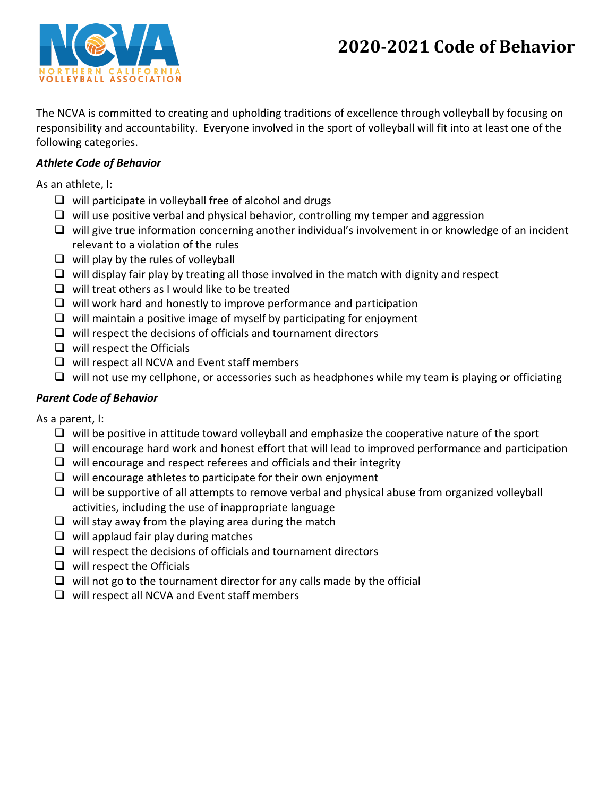# **2020-2021 Code of Behavior**



The NCVA is committed to creating and upholding traditions of excellence through volleyball by focusing on responsibility and accountability. Everyone involved in the sport of volleyball will fit into at least one of the following categories.

## *Athlete Code of Behavior*

As an athlete, I:

- $\Box$  will participate in volleyball free of alcohol and drugs
- $\Box$  will use positive verbal and physical behavior, controlling my temper and aggression
- $\Box$  will give true information concerning another individual's involvement in or knowledge of an incident relevant to a violation of the rules
- $\Box$  will play by the rules of volleyball
- $\Box$  will display fair play by treating all those involved in the match with dignity and respect
- $\Box$  will treat others as I would like to be treated
- $\Box$  will work hard and honestly to improve performance and participation
- $\Box$  will maintain a positive image of myself by participating for enjoyment
- $\Box$  will respect the decisions of officials and tournament directors
- $\Box$  will respect the Officials
- $\Box$  will respect all NCVA and Event staff members
- $\Box$  will not use my cellphone, or accessories such as headphones while my team is playing or officiating

## *Parent Code of Behavior*

As a parent, I:

- $\Box$  will be positive in attitude toward volleyball and emphasize the cooperative nature of the sport
- $\Box$  will encourage hard work and honest effort that will lead to improved performance and participation
- $\Box$  will encourage and respect referees and officials and their integrity
- $\Box$  will encourage athletes to participate for their own enjoyment
- $\Box$  will be supportive of all attempts to remove verbal and physical abuse from organized volleyball activities, including the use of inappropriate language
- $\Box$  will stay away from the playing area during the match
- $\Box$  will applaud fair play during matches
- $\Box$  will respect the decisions of officials and tournament directors
- $\Box$  will respect the Officials
- $\Box$  will not go to the tournament director for any calls made by the official
- $\Box$  will respect all NCVA and Event staff members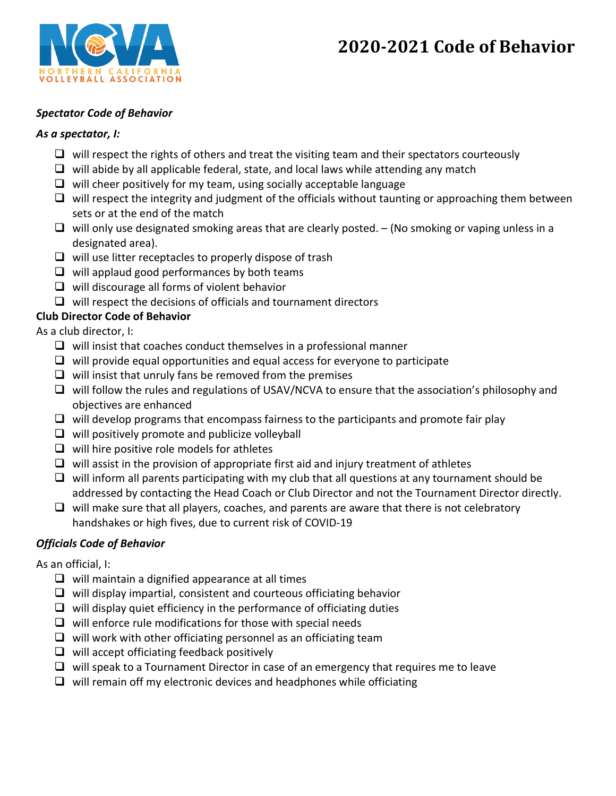# **2020-2021 Code of Behavior**



### *Spectator Code of Behavior*

#### *As a spectator, I:*

- $\Box$  will respect the rights of others and treat the visiting team and their spectators courteously
- $\Box$  will abide by all applicable federal, state, and local laws while attending any match
- $\Box$  will cheer positively for my team, using socially acceptable language
- $\Box$  will respect the integrity and judgment of the officials without taunting or approaching them between sets or at the end of the match
- $\Box$  will only use designated smoking areas that are clearly posted. (No smoking or vaping unless in a designated area).
- $\Box$  will use litter receptacles to properly dispose of trash
- $\Box$  will applaud good performances by both teams
- $\Box$  will discourage all forms of violent behavior
- $\Box$  will respect the decisions of officials and tournament directors

## **Club Director Code of Behavior**

As a club director, I:

- $\Box$  will insist that coaches conduct themselves in a professional manner
- $\Box$  will provide equal opportunities and equal access for everyone to participate
- $\Box$  will insist that unruly fans be removed from the premises
- □ will follow the rules and regulations of USAV/NCVA to ensure that the association's philosophy and objectives are enhanced
- $\Box$  will develop programs that encompass fairness to the participants and promote fair play
- $\Box$  will positively promote and publicize volleyball
- $\Box$  will hire positive role models for athletes
- $\Box$  will assist in the provision of appropriate first aid and injury treatment of athletes
- $\Box$  will inform all parents participating with my club that all questions at any tournament should be addressed by contacting the Head Coach or Club Director and not the Tournament Director directly.
- $\Box$  will make sure that all players, coaches, and parents are aware that there is not celebratory handshakes or high fives, due to current risk of COVID-19

## *Officials Code of Behavior*

As an official, I:

- $\Box$  will maintain a dignified appearance at all times
- $\Box$  will display impartial, consistent and courteous officiating behavior
- $\Box$  will display quiet efficiency in the performance of officiating duties
- $\Box$  will enforce rule modifications for those with special needs
- $\Box$  will work with other officiating personnel as an officiating team
- $\Box$  will accept officiating feedback positively
- $\Box$  will speak to a Tournament Director in case of an emergency that requires me to leave
- $\Box$  will remain off my electronic devices and headphones while officiating